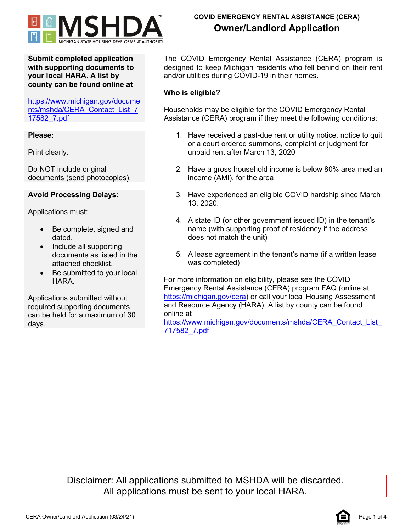

# **COVID EMERGENCY RENTAL ASSISTANCE (CERA) Owner/Landlord Application**

**Submit completed application with supporting documents to your local HARA. A list by county can be found online at**

[https://www.michigan.gov/docume](https://www.michigan.gov/documents/mshda/CERA_Contact_List_717582_7.pdf) [nts/mshda/CERA\\_Contact\\_List\\_7](https://www.michigan.gov/documents/mshda/CERA_Contact_List_717582_7.pdf) [17582\\_7.pdf](https://www.michigan.gov/documents/mshda/CERA_Contact_List_717582_7.pdf)

## **Please:**

Print clearly.

Do NOT include original documents (send photocopies).

# **Avoid Processing Delays:**

Applications must:

- Be complete, signed and dated.
- Include all supporting documents as listed in the attached checklist.
- Be submitted to your local **HARA**

Applications submitted without required supporting documents can be held for a maximum of 30 days.

The COVID Emergency Rental Assistance (CERA) program is designed to keep Michigan residents who fell behind on their rent and/or utilities during COVID-19 in their homes.

# **Who is eligible?**

Households may be eligible for the COVID Emergency Rental Assistance (CERA) program if they meet the following conditions:

- 1. Have received a past-due rent or utility notice, notice to quit or a court ordered summons, complaint or judgment for unpaid rent after March 13, 2020
- 2. Have a gross household income is below 80% area median income (AMI), for the area
- 3. Have experienced an eligible COVID hardship since March 13, 2020.
- 4. A state ID (or other government issued ID) in the tenant's name (with supporting proof of residency if the address does not match the unit)
- 5. A lease agreement in the tenant's name (if a written lease was completed)

For more information on eligibility, please see the COVID Emergency Rental Assistance (CERA) program FAQ (online at [https://michigan.gov/cera\)](https://michigan.gov/cera) or call your local Housing Assessment and Resource Agency (HARA). A list by county can be found online at

https://www.michigan.gov/documents/mshda/CERA\_Contact\_List [717582\\_7.pdf](https://www.michigan.gov/documents/mshda/CERA_Contact_List_717582_7.pdf)

Disclaimer: All applications submitted to MSHDA will be discarded. All applications must be sent to your local HARA.

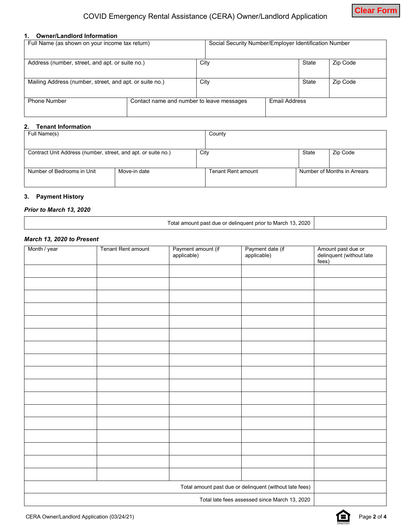#### **1. Owner/Landlord Information**

| Full Name (as shown on your income tax return)          |                                           | Social Security Number/Employer Identification Number |                      |  |       |          |
|---------------------------------------------------------|-------------------------------------------|-------------------------------------------------------|----------------------|--|-------|----------|
|                                                         |                                           |                                                       |                      |  |       |          |
| Address (number, street, and apt. or suite no.)         |                                           |                                                       | City                 |  | State | Zip Code |
|                                                         |                                           |                                                       |                      |  |       |          |
| Mailing Address (number, street, and apt. or suite no.) |                                           |                                                       | City                 |  | State | Zip Code |
|                                                         |                                           |                                                       |                      |  |       |          |
| <b>Phone Number</b>                                     | Contact name and number to leave messages |                                                       | <b>Email Address</b> |  |       |          |
|                                                         |                                           |                                                       |                      |  |       |          |

## **2. Tenant Information**

| Full Name(s)                                                  |              | County                    |       |                             |
|---------------------------------------------------------------|--------------|---------------------------|-------|-----------------------------|
|                                                               |              |                           |       |                             |
| Contract Unit Address (number, street, and apt. or suite no.) |              | City                      | State | Zip Code                    |
|                                                               |              |                           |       |                             |
| Number of Bedrooms in Unit                                    | Move-in date | <b>Tenant Rent amount</b> |       | Number of Months in Arrears |
|                                                               |              |                           |       |                             |

#### **3. Payment History**

#### *Prior to March 13, 2020*

Total amount past due or delinquent prior to March 13, 2020

#### *March 13, 2020 to Present*

| Month / year                                  | <b>Tenant Rent amount</b> |                                   |                                                         |                                                         |
|-----------------------------------------------|---------------------------|-----------------------------------|---------------------------------------------------------|---------------------------------------------------------|
|                                               |                           | Payment amount (if<br>applicable) | Payment date (if<br>applicable)                         | Amount past due or<br>delinquent (without late<br>fees) |
|                                               |                           |                                   |                                                         |                                                         |
|                                               |                           |                                   |                                                         |                                                         |
|                                               |                           |                                   |                                                         |                                                         |
|                                               |                           |                                   |                                                         |                                                         |
|                                               |                           |                                   |                                                         |                                                         |
|                                               |                           |                                   |                                                         |                                                         |
|                                               |                           |                                   |                                                         |                                                         |
|                                               |                           |                                   |                                                         |                                                         |
|                                               |                           |                                   |                                                         |                                                         |
|                                               |                           |                                   |                                                         |                                                         |
|                                               |                           |                                   |                                                         |                                                         |
|                                               |                           |                                   |                                                         |                                                         |
|                                               |                           |                                   |                                                         |                                                         |
|                                               |                           |                                   |                                                         |                                                         |
|                                               |                           |                                   |                                                         |                                                         |
|                                               |                           |                                   |                                                         |                                                         |
|                                               |                           |                                   |                                                         |                                                         |
|                                               |                           |                                   | Total amount past due or delinquent (without late fees) |                                                         |
| Total late fees assessed since March 13, 2020 |                           |                                   |                                                         |                                                         |

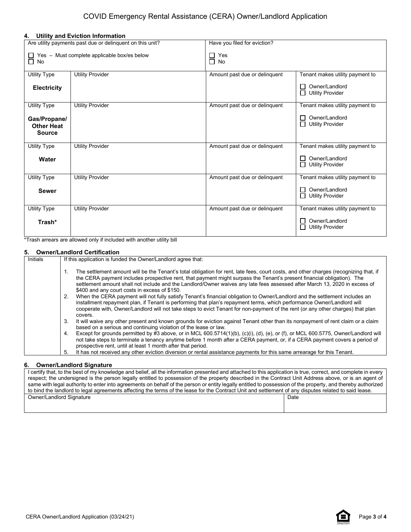#### **4. Utility and Eviction Information**

| Are utility payments past due or delinquent on this unit?       |                         | Have you filed for eviction?  |                                                                |  |
|-----------------------------------------------------------------|-------------------------|-------------------------------|----------------------------------------------------------------|--|
| $\Box$ Yes - Must complete applicable box/es below<br>$\Box$ No |                         | Yes<br>$\Box$<br>$\Box$ No    |                                                                |  |
| <b>Utility Type</b>                                             | <b>Utility Provider</b> | Amount past due or delinquent | Tenant makes utility payment to                                |  |
| <b>Electricity</b>                                              |                         |                               | Owner/Landlord<br>$\perp$<br><b>Utility Provider</b><br>П      |  |
| <b>Utility Type</b>                                             | <b>Utility Provider</b> | Amount past due or delinguent | Tenant makes utility payment to                                |  |
| Gas/Propane/<br><b>Other Heat</b><br><b>Source</b>              |                         |                               | Owner/Landlord<br>$\perp$<br>Utility Provider                  |  |
| <b>Utility Type</b>                                             | <b>Utility Provider</b> | Amount past due or delinguent | Tenant makes utility payment to                                |  |
| Water                                                           |                         |                               | Owner/Landlord<br>$\mathsf{L}$<br><b>Utility Provider</b><br>П |  |
| <b>Utility Type</b>                                             | <b>Utility Provider</b> | Amount past due or delinquent | Tenant makes utility payment to                                |  |
| <b>Sewer</b>                                                    |                         |                               | Owner/Landlord<br>$\mathbf{1}$<br><b>Utility Provider</b><br>П |  |
| <b>Utility Type</b>                                             | <b>Utility Provider</b> | Amount past due or delinguent | Tenant makes utility payment to                                |  |
| Trash*                                                          |                         |                               | Owner/Landlord<br>l 1<br><b>Utility Provider</b><br>п          |  |

\*Trash arrears are allowed only if included with another utility bill

### **5. Owner/Landlord Certification**

| <b>Initials</b> | If this application is funded the Owner/Landlord agree that:                                                                                                                                                                                                                                                                                                                                                                                   |  |  |  |
|-----------------|------------------------------------------------------------------------------------------------------------------------------------------------------------------------------------------------------------------------------------------------------------------------------------------------------------------------------------------------------------------------------------------------------------------------------------------------|--|--|--|
|                 | The settlement amount will be the Tenant's total obligation for rent, late fees, court costs, and other charges (recognizing that, if<br>the CERA payment includes prospective rent, that payment might surpass the Tenant's present financial obligation). The<br>settlement amount shall not include and the Landlord/Owner waives any late fees assessed after March 13, 2020 in excess of<br>\$400 and any court costs in excess of \$150. |  |  |  |
|                 | When the CERA payment will not fully satisfy Tenant's financial obligation to Owner/Landlord and the settlement includes an<br>2.<br>installment repayment plan, if Tenant is performing that plan's repayment terms, which performance Owner/Landlord will<br>cooperate with, Owner/Landlord will not take steps to evict Tenant for non-payment of the rent (or any other charges) that plan<br>covers.                                      |  |  |  |
|                 | It will waive any other present and known grounds for eviction against Tenant other than its nonpayment of rent claim or a claim<br>3.<br>based on a serious and continuing violation of the lease or law.                                                                                                                                                                                                                                     |  |  |  |
|                 | Except for grounds permitted by #3 above, or in MCL 600.5714(1)(b), (c)(i), (d), (e), or (f), or MCL 600.5775, Owner/Landlord will<br>4.<br>not take steps to terminate a tenancy anytime before 1 month after a CERA payment, or, if a CERA payment covers a period of<br>prospective rent, until at least 1 month after that period.                                                                                                         |  |  |  |
|                 | It has not received any other eviction diversion or rental assistance payments for this same arrearage for this Tenant.<br>5.                                                                                                                                                                                                                                                                                                                  |  |  |  |

#### **6. Owner/Landlord Signature**

| I certify that, to the best of my knowledge and belief, all the information presented and attached to this application is true, correct, and complete in every |      |  |  |
|----------------------------------------------------------------------------------------------------------------------------------------------------------------|------|--|--|
| respect; the undersigned is the person legally entitled to possession of the property described in the Contract Unit Address above, or is an agent of          |      |  |  |
| same with legal authority to enter into agreements on behalf of the person or entity legally entitled to possession of the property, and thereby authorized    |      |  |  |
| to bind the landlord to legal agreements affecting the terms of the lease for the Contract Unit and settlement of any disputes related to said lease.          |      |  |  |
| Owner/Landlord Signature                                                                                                                                       | Date |  |  |
|                                                                                                                                                                |      |  |  |